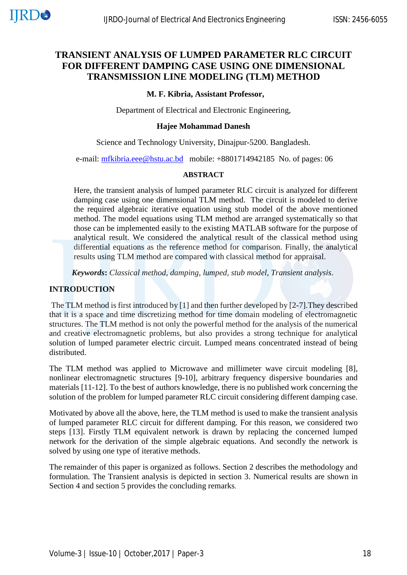# **TRANSIENT ANALYSIS OF LUMPED PARAMETER RLC CIRCUIT FOR DIFFERENT DAMPING CASE USING ONE DIMENSIONAL TRANSMISSION LINE MODELING (TLM) METHOD**

# **M. F. Kibria, Assistant Professor,**

Department of Electrical and Electronic Engineering,

### **Hajee Mohammad Danesh**

Science and Technology University, Dinajpur-5200. Bangladesh.

e-mail: [mfkibria.eee@hstu.ac.bd](mailto:mfkibria.eee@hstu.ac.bd) mobile: +8801714942185 No. of pages: 06

#### **ABSTRACT**

Here, the transient analysis of lumped parameter RLC circuit is analyzed for different damping case using one dimensional TLM method. The circuit is modeled to derive the required algebraic iterative equation using stub model of the above mentioned method. The model equations using TLM method are arranged systematically so that those can be implemented easily to the existing MATLAB software for the purpose of analytical result. We considered the analytical result of the classical method using differential equations as the reference method for comparison. Finally, the analytical results using TLM method are compared with classical method for appraisal.

*Keywords***:** *Classical method, damping, lumped, stub model, Transient analysis*.

# **INTRODUCTION**

The TLM method is first introduced by [1] and then further developed by [2-7].They described that it is a space and time discretizing method for time domain modeling of electromagnetic structures. The TLM method is not only the powerful method for the analysis of the numerical and creative electromagnetic problems, but also provides a strong technique for analytical solution of lumped parameter electric circuit. Lumped means concentrated instead of being distributed.

The TLM method was applied to Microwave and millimeter wave circuit modeling [8], nonlinear electromagnetic structures [9-10], arbitrary frequency dispersive boundaries and materials [11-12]. To the best of authors knowledge, there is no published work concerning the solution of the problem for lumped parameter RLC circuit considering different damping case.

Motivated by above all the above, here, the TLM method is used to make the transient analysis of lumped parameter RLC circuit for different damping. For this reason, we considered two steps [13]. Firstly TLM equivalent network is drawn by replacing the concerned lumped network for the derivation of the simple algebraic equations. And secondly the network is solved by using one type of iterative methods.

The remainder of this paper is organized as follows. Section 2 describes the methodology and formulation. The Transient analysis is depicted in section 3. Numerical results are shown in Section 4 and section 5 provides the concluding remarks.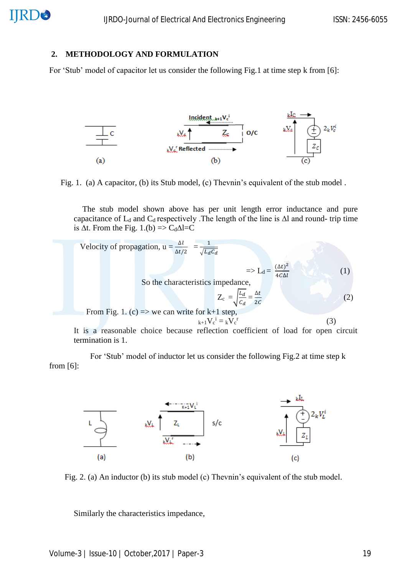# **2. METHODOLOGY AND FORMULATION**

For 'Stub' model of capacitor let us consider the following Fig.1 at time step k from [6]:



Fig. 1. (a) A capacitor, (b) its Stub model, (c) Thevnin's equivalent of the stub model .

 The stub model shown above has per unit length error inductance and pure capacitance of  $L_d$  and  $C_d$  respectively .The length of the line is  $\Delta l$  and round- trip time is  $\Delta t$ . From the Fig. 1.(b) => C<sub>d</sub> $\Delta l = C$ 

Velocity of propagation, 
$$
u = \frac{\Delta l}{\Delta t/2} = \frac{1}{\sqrt{L_d C_d}}
$$
  
\n $\Rightarrow L_d = \frac{(\Delta t)^2}{4c\Delta l}$   
\nSo the characteristics impedance,  
\n $Z_c = \sqrt{\frac{L_d}{C_d}} = \frac{\Delta t}{2c}$  (1)  
\nFrom Fig. 1. (c)  $\Rightarrow$  we can write for k+1 step,  
\n $k+1 \text{ Vc}^i = k \text{ Vc}^r$  (3)  
\nIt is a reasonable choice because reflection coefficient of load for open circuit  
\ntermination is 1.

 For 'Stub' model of inductor let us consider the following Fig.2 at time step k from [6]:



Fig. 2. (a) An inductor (b) its stub model (c) Thevnin's equivalent of the stub model.

Similarly the characteristics impedance,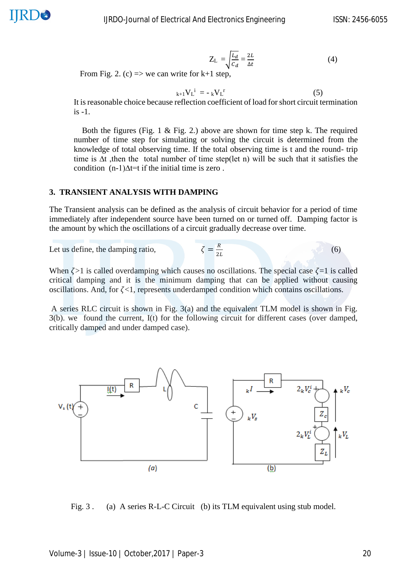$$
Z_{L} = \sqrt{\frac{L_{d}}{C_{d}}} = \frac{2L}{\Delta t}
$$
(4)

 $(6)$ 

From Fig. 2. (c)  $\Rightarrow$  we can write for k+1 step,

$$
k+1}{V_L}^i = -kV_L^r
$$
 (5)

It is reasonable choice because reflection coefficient of load for short circuit termination  $i$ s -1.

Both the figures (Fig. 1  $\&$  Fig. 2.) above are shown for time step k. The required number of time step for simulating or solving the circuit is determined from the knowledge of total observing time. If the total observing time is t and the round- trip time is ∆t ,then the total number of time step(let n) will be such that it satisfies the condition (n-1)∆t=t if the initial time is zero .

# **3. TRANSIENT ANALYSIS WITH DAMPING**

The Transient analysis can be defined as the analysis of circuit behavior for a period of time immediately after independent source have been turned on or turned off. Damping factor is the amount by which the oscillations of a circuit gradually decrease over time.

> $\boldsymbol{R}$ 2

Let us define, the damping ratio,

When 
$$
\zeta > 1
$$
 is called overdamping which causes no oscillations. The special case  $\zeta = 1$  is called critical damping and it is the minimum damping that can be applied without causing oscillations. And, for  $\zeta < 1$ , represents underdamped condition which contains oscillations.

A series RLC circuit is shown in Fig. 3(a) and the equivalent TLM model is shown in Fig. 3(b). we found the current, I(t) for the following circuit for different cases (over damped, critically damped and under damped case).



Fig. 3. (a) A series R-L-C Circuit (b) its TLM equivalent using stub model.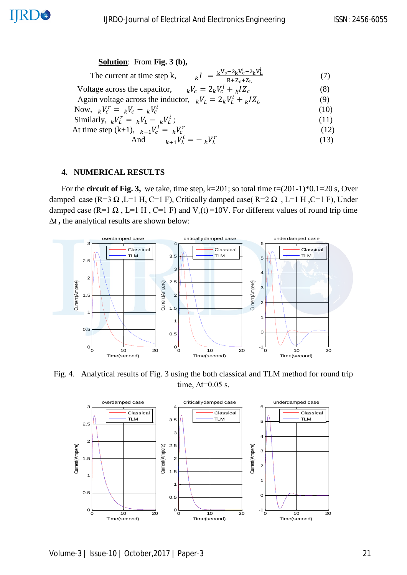# **Solution**: From **Fig. 3 (b),**

| $k = \frac{kV_s - 2kV_c^i - 2kV_L^i}{R + Z_c + Z_L}$<br>The current at time step k, | (7)  |
|-------------------------------------------------------------------------------------|------|
| Voltage across the capacitor, $_kV_c = 2_k V_c^i + _k IZ_c$                         | (8)  |
| Again voltage across the inductor, $_kV_L = 2_kV_L^i + {}_kIZ_L$                    | (9)  |
| Now, $kV_c^r = kV_c - kV_c^i$                                                       | (10) |
| Similarly, $_k V_L^r = {}_k V_L - {}_k V_L^i$ ;                                     | (11) |
| At time step (k+1), $_{k+1}V_c^i = _kV_c^r$                                         | (12) |
| And $k+1$ $V_L^i = -k V_L^r$                                                        | (13) |

$$
d \qquad \qquad k+1 \, V^i_L = -\,{}_k V^r_L \tag{13}
$$

# **4. NUMERICAL RESULTS**

**IJRD®** 

 For the **circuit of Fig. 3,** we take, time step, k=201; so total time t=(201-1)\*0.1=20 s, Over damped case (R=3  $\Omega$ , L=1 H, C=1 F), Critically damped case (R=2  $\Omega$ , L=1 H, C=1 F), Under damped case (R=1  $\Omega$ , L=1 H, C=1 F) and V<sub>s</sub>(t) =10V. For different values of round trip time *∆t* **,** the analytical results are shown below:



Fig. 4. Analytical results of Fig. 3 using the both classical and TLM method for round trip time,  $\Delta t = 0.05$  s.



Volume-3 | Issue-10 | October,2017 | Paper-3 21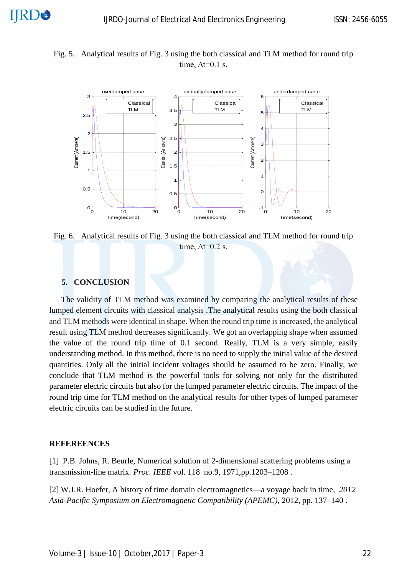Fig. 5. Analytical results of Fig. 3 using the both classical and TLM method for round trip time,  $\Delta t = 0.1$  s.



Fig. 6. Analytical results of Fig. 3 using the both classical and TLM method for round trip time,  $\Delta t = 0.2$  s.

# **5. CONCLUSION**

 The validity of TLM method was examined by comparing the analytical results of these lumped element circuits with classical analysis .The analytical results using the both classical and TLM methods were identical in shape. When the round trip time is increased, the analytical result using TLM method decreases significantly. We got an overlapping shape when assumed the value of the round trip time of 0.1 second. Really, TLM is a very simple, easily understanding method. In this method, there is no need to supply the initial value of the desired quantities. Only all the initial incident voltages should be assumed to be zero. Finally, we conclude that TLM method is the powerful tools for solving not only for the distributed parameter electric circuits but also for the lumped parameter electric circuits. The impact of the round trip time for TLM method on the analytical results for other types of lumped parameter electric circuits can be studied in the future.

#### **REFEREENCES**

[1] P.B. Johns, R. Beurle, Numerical solution of 2-dimensional scattering problems using a transmission-line matrix*. Proc. IEEE* vol. 118 no.9, 1971,pp.1203–1208 .

[2] W.J.R. Hoefer, A history of time domain electromagnetics—a voyage back in time, *2012 Asia-Pacific Symposium on Electromagnetic Compatibility (APEMC),* 2012, pp. 137–140 .